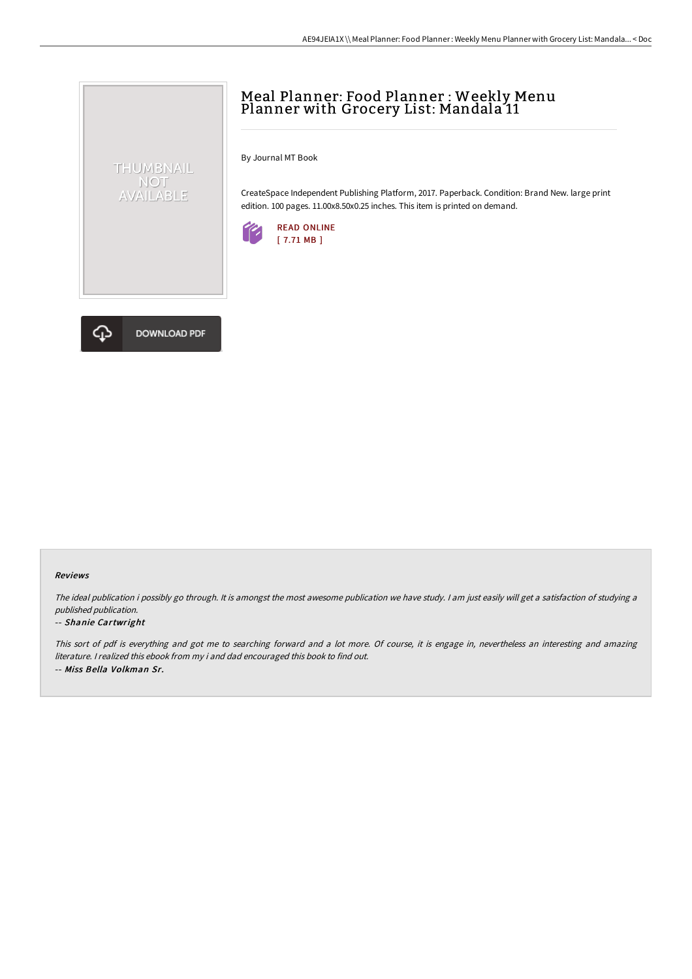# Meal Planner: Food Planner : Weekly Menu Planner with Grocery List: Mandala 11

By Journal MT Book

CreateSpace Independent Publishing Platform, 2017. Paperback. Condition: Brand New. large print edition. 100 pages. 11.00x8.50x0.25 inches. This item is printed on demand.





THUMBNAIL NOT<br>AVAILABLE

#### Reviews

The ideal publication i possibly go through. It is amongst the most awesome publication we have study. I am just easily will get a satisfaction of studying a published publication.

#### -- Shanie Cartwright

This sort of pdf is everything and got me to searching forward and <sup>a</sup> lot more. Of course, it is engage in, nevertheless an interesting and amazing literature. <sup>I</sup> realized this ebook from my i and dad encouraged this book to find out. -- Miss Bella Volkman Sr.